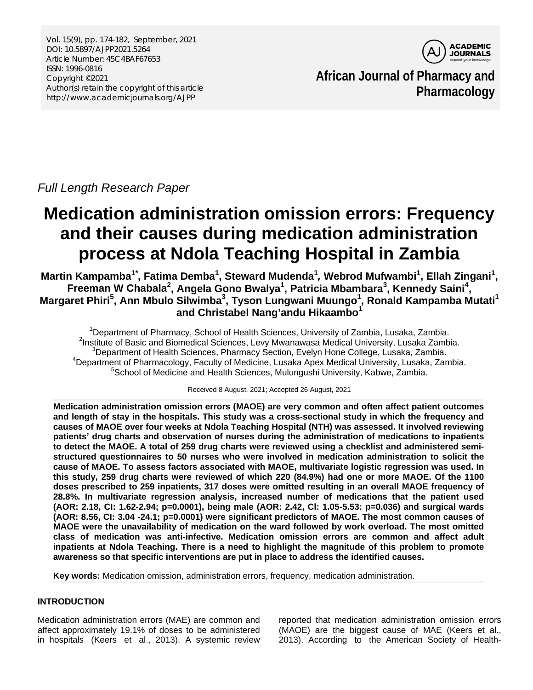Vol. 15(9), pp. 174-182, September, 2021 DOI: 10.5897/AJPP2021.5264 Article Number: 45C4BAF67653 ISSN: 1996-0816 Copyright ©2021 Author(s) retain the copyright of this article http://www.academicjournals.org/AJPP



**African Journal of Pharmacy and Pharmacology**

*Full Length Research Paper*

# **Medication administration omission errors: Frequency and their causes during medication administration process at Ndola Teaching Hospital in Zambia**

**Martin Kampamba1***\** **, Fatima Demba1 , Steward Mudenda1** *,* **Webrod Mufwambi<sup>1</sup> , Ellah Zingani<sup>1</sup> ,**   $\mathsf{F}$ reeman W Chabala<sup>2</sup>, Angela Gono Bwalya<sup>1</sup>, Patricia Mbambara<sup>3</sup>, Kennedy Saini<sup>4</sup>, **Margaret Phiri<sup>5</sup> , Ann Mbulo Silwimba3 , Tyson Lungwani Muungo1 , Ronald Kampamba Mutati<sup>1</sup> and Christabel Nang'andu Hikaambo1**

<sup>1</sup> Department of Pharmacy, School of Health Sciences, University of Zambia, Lusaka, Zambia.<br><sup>2</sup> Peritute of Besis and Piemedical Sciences, Law Mucnowese Medical University, Lusaka Zambia. <sup>2</sup>Institute of Basic and Biomedical Sciences, Levy Mwanawasa Medical University, Lusaka Zambia.  $3$ Department of Health Sciences, Pharmacy Section, Evelyn Hone College, Lusaka, Zambia.  $4$ Department of Pharmacology, Faculty of Medicine, Lusaka Apex Medical University, Lusaka, Zambia. 5 School of Medicine and Health Sciences, Mulungushi University, Kabwe, Zambia.

Received 8 August, 2021; Accepted 26 August, 2021

**Medication administration omission errors (MAOE) are very common and often affect patient outcomes and length of stay in the hospitals. This study was a cross-sectional study in which the frequency and causes of MAOE over four weeks at Ndola Teaching Hospital (NTH) was assessed. It involved reviewing patients' drug charts and observation of nurses during the administration of medications to inpatients to detect the MAOE. A total of 259 drug charts were reviewed using a checklist and administered semistructured questionnaires to 50 nurses who were involved in medication administration to solicit the cause of MAOE. To assess factors associated with MAOE, multivariate logistic regression was used. In this study, 259 drug charts were reviewed of which 220 (84.9%) had one or more MAOE. Of the 1100 doses prescribed to 259 inpatients, 317 doses were omitted resulting in an overall MAOE frequency of 28.8%. In multivariate regression analysis, increased number of medications that the patient used (AOR: 2.18, CI: 1.62-2.94; p=0.0001), being male (AOR: 2.42, Cl: 1.05-5.53: p=0.036) and surgical wards (AOR: 8.56, CI: 3.04 -24.1; p=0.0001) were significant predictors of MAOE. The most common causes of MAOE were the unavailability of medication on the ward followed by work overload. The most omitted class of medication was anti-infective. Medication omission errors are common and affect adult inpatients at Ndola Teaching. There is a need to highlight the magnitude of this problem to promote awareness so that specific interventions are put in place to address the identified causes.** 

**Key words:** Medication omission, administration errors, frequency, medication administration.

## **INTRODUCTION**

Medication administration errors (MAE) are common and affect approximately 19.1% of doses to be administered in hospitals (Keers et al., 2013). A systemic review

reported that medication administration omission errors (MAOE) are the biggest cause of MAE (Keers et al., 2013). According to the American Society of Health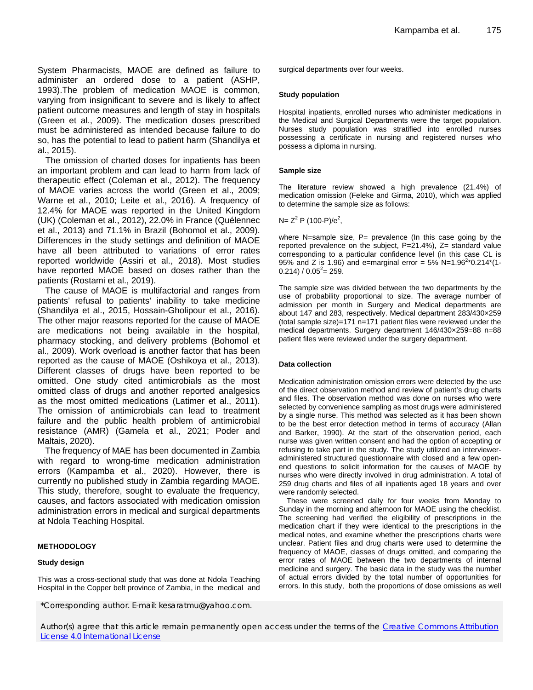System Pharmacists, MAOE are defined as failure to administer an ordered dose to a patient (ASHP, 1993).The problem of medication MAOE is common, varying from insignificant to severe and is likely to affect patient outcome measures and length of stay in hospitals (Green et al., 2009). The medication doses prescribed must be administered as intended because failure to do so, has the potential to lead to patient harm (Shandilya et al., 2015).

The omission of charted doses for inpatients has been an important problem and can lead to harm from lack of therapeutic effect (Coleman et al., 2012). The frequency of MAOE varies across the world (Green et al., 2009; Warne et al., 2010; Leite et al., 2016). A frequency of 12.4% for MAOE was reported in the United Kingdom (UK) (Coleman et al., 2012), 22.0% in France (Quélennec et al., 2013) and 71.1% in Brazil (Bohomol et al., 2009). Differences in the study settings and definition of MAOE have all been attributed to variations of error rates reported worldwide (Assiri et al., 2018). Most studies have reported MAOE based on doses rather than the patients (Rostami et al., 2019).

The cause of MAOE is multifactorial and ranges from patients' refusal to patients' inability to take medicine (Shandilya et al., 2015, Hossain-Gholipour et al., 2016). The other major reasons reported for the cause of MAOE are medications not being available in the hospital, pharmacy stocking, and delivery problems (Bohomol et al., 2009). Work overload is another factor that has been reported as the cause of MAOE (Oshikoya et al., 2013). Different classes of drugs have been reported to be omitted. One study cited antimicrobials as the most omitted class of drugs and another reported analgesics as the most omitted medications (Latimer et al., 2011). The omission of antimicrobials can lead to treatment failure and the public health problem of antimicrobial resistance (AMR) (Gamela et al., 2021; Poder and Maltais, 2020).

The frequency of MAE has been documented in Zambia with regard to wrong-time medication administration errors (Kampamba et al., 2020). However, there is currently no published study in Zambia regarding MAOE. This study, therefore, sought to evaluate the frequency, causes, and factors associated with medication omission administration errors in medical and surgical departments at Ndola Teaching Hospital.

## **METHODOLOGY**

#### **Study design**

This was a cross-sectional study that was done at Ndola Teaching Hospital in the Copper belt province of Zambia, in the medical and surgical departments over four weeks.

#### **Study population**

Hospital inpatients, enrolled nurses who administer medications in the Medical and Surgical Departments were the target population. Nurses study population was stratified into enrolled nurses possessing a certificate in nursing and registered nurses who possess a diploma in nursing.

#### **Sample size**

The literature review showed a high prevalence (21.4%) of medication omission (Feleke and Girma, 2010), which was applied to determine the sample size as follows:

N=  $Z^2$  P (100-P)/e<sup>2</sup>,

where N=sample size,  $P=$  prevalence (In this case going by the reported prevalence on the subject, P=21.4%), Z= standard value corresponding to a particular confidence level (in this case CL is 95% and Z is 1.96) and e=marginal error = 5% N=1.96<sup>2\*</sup>0.214\*(1- $0.214$ ) /  $0.05^2$  = 259.

The sample size was divided between the two departments by the use of probability proportional to size. The average number of admission per month in Surgery and Medical departments are about 147 and 283, respectively. Medical department 283/430×259 (total sample size)=171 n=171 patient files were reviewed under the medical departments. Surgery department 146/430×259=88 n=88 patient files were reviewed under the surgery department.

#### **Data collection**

Medication administration omission errors were detected by the use of the direct observation method and review of patient's drug charts and files. The observation method was done on nurses who were selected by convenience sampling as most drugs were administered by a single nurse. This method was selected as it has been shown to be the best error detection method in terms of accuracy (Allan and Barker, 1990). At the start of the observation period, each nurse was given written consent and had the option of accepting or refusing to take part in the study. The study utilized an intervieweradministered structured questionnaire with closed and a few openend questions to solicit information for the causes of MAOE by nurses who were directly involved in drug administration. A total of 259 drug charts and files of all inpatients aged 18 years and over were randomly selected.

These were screened daily for four weeks from Monday to Sunday in the morning and afternoon for MAOE using the checklist. The screening had verified the eligibility of prescriptions in the medication chart if they were identical to the prescriptions in the medical notes, and examine whether the prescriptions charts were unclear. Patient files and drug charts were used to determine the frequency of MAOE, classes of drugs omitted, and comparing the error rates of MAOE between the two departments of internal medicine and surgery. The basic data in the study was the number of actual errors divided by the total number of opportunities for errors. In this study, both the proportions of dose omissions as well

\*Corresponding author. E-mail: kesaratmu@yahoo.com.

Author(s) agree that this article remain permanently open access under the terms of the Creative Commons Attribution [License 4.0 International License](http://creativecommons.org/licenses/by/4.0/deed.en_US)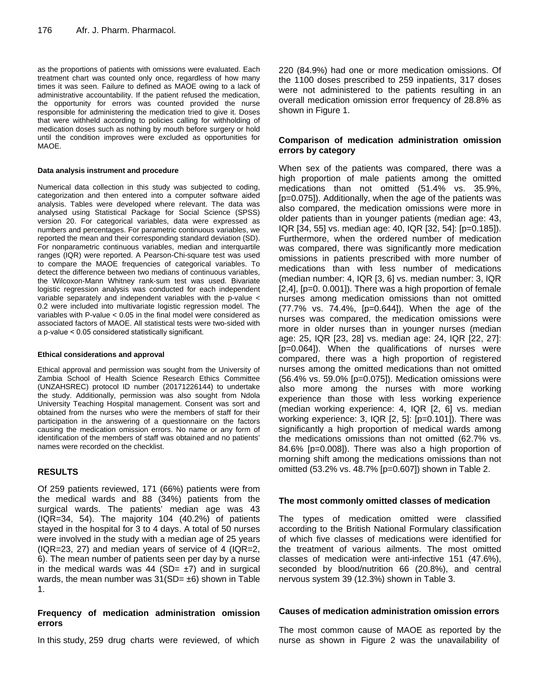as the proportions of patients with omissions were evaluated. Each treatment chart was counted only once, regardless of how many times it was seen. Failure to defined as MAOE owing to a lack of administrative accountability. If the patient refused the medication, the opportunity for errors was counted provided the nurse responsible for administering the medication tried to give it. Doses that were withheld according to policies calling for withholding of medication doses such as nothing by mouth before surgery or hold until the condition improves were excluded as opportunities for MAOE.

#### **Data analysis instrument and procedure**

Numerical data collection in this study was subjected to coding, categorization and then entered into a computer software aided analysis. Tables were developed where relevant. The data was analysed using Statistical Package for Social Science (SPSS) version 20. For categorical variables, data were expressed as numbers and percentages. For parametric continuous variables, we reported the mean and their corresponding standard deviation (SD). For nonparametric continuous variables, median and interquartile ranges (IQR) were reported. A Pearson-Chi-square test was used to compare the MAOE frequencies of categorical variables. To detect the difference between two medians of continuous variables, the Wilcoxon-Mann Whitney rank-sum test was used. Bivariate logistic regression analysis was conducted for each independent variable separately and independent variables with the p-value < 0.2 were included into multivariate logistic regression model. The variables with P-value < 0.05 in the final model were considered as associated factors of MAOE. All statistical tests were two-sided with a p-value ˂ 0.05 considered statistically significant.

#### **Ethical considerations and approval**

Ethical approval and permission was sought from the University of Zambia School of Health Science Research Ethics Committee (UNZAHSREC) protocol ID number (20171226144) to undertake the study. Additionally, permission was also sought from Ndola University Teaching Hospital management. Consent was sort and obtained from the nurses who were the members of staff for their participation in the answering of a questionnaire on the factors causing the medication omission errors. No name or any form of identification of the members of staff was obtained and no patients' names were recorded on the checklist.

## **RESULTS**

Of 259 patients reviewed, 171 (66%) patients were from the medical wards and 88 (34%) patients from the surgical wards. The patients' median age was 43 (IQR=34, 54). The majority 104 (40.2%) of patients stayed in the hospital for 3 to 4 days. A total of 50 nurses were involved in the study with a median age of 25 years (IQR=23, 27) and median years of service of 4 (IQR=2, 6). The mean number of patients seen per day by a nurse in the medical wards was 44 (SD=  $\pm$ 7) and in surgical wards, the mean number was  $31(SD= \pm 6)$  shown in Table 1.

## **Frequency of medication administration omission errors**

In this study, 259 drug charts were reviewed, of which

220 (84.9%) had one or more medication omissions. Of the 1100 doses prescribed to 259 inpatients, 317 doses were not administered to the patients resulting in an overall medication omission error frequency of 28.8% as shown in Figure 1.

### **Comparison of medication administration omission errors by category**

When sex of the patients was compared, there was a high proportion of male patients among the omitted medications than not omitted (51.4% vs. 35.9%, [p=0.075]). Additionally, when the age of the patients was also compared, the medication omissions were more in older patients than in younger patients (median age: 43, IQR [34, 55] vs. median age: 40, IQR [32, 54]: [p=0.185]). Furthermore, when the ordered number of medication was compared, there was significantly more medication omissions in patients prescribed with more number of medications than with less number of medications (median number: 4, IQR [3, 6] vs. median number: 3, IQR [2,4], [p=0. 0.001]). There was a high proportion of female nurses among medication omissions than not omitted (77.7% vs. 74.4%, [p=0.644]). When the age of the nurses was compared, the medication omissions were more in older nurses than in younger nurses (median age: 25, IQR [23, 28] vs. median age: 24, IQR [22, 27]: [p=0.064]). When the qualifications of nurses were compared, there was a high proportion of registered nurses among the omitted medications than not omitted (56.4% vs. 59.0% [p=0.075]). Medication omissions were also more among the nurses with more working experience than those with less working experience (median working experience: 4, IQR [2, 6] vs. median working experience: 3, IQR [2, 5]: [p=0.101]). There was significantly a high proportion of medical wards among the medications omissions than not omitted (62.7% vs. 84.6% [p=0.008]). There was also a high proportion of morning shift among the medications omissions than not omitted (53.2% vs. 48.7% [p=0.607]) shown in Table 2.

#### **The most commonly omitted classes of medication**

The types of medication omitted were classified according to the British National Formulary classification of which five classes of medications were identified for the treatment of various ailments. The most omitted classes of medication were anti-infective 151 (47.6%), seconded by blood/nutrition 66 (20.8%), and central nervous system 39 (12.3%) shown in Table 3.

## **Causes of medication administration omission errors**

The most common cause of MAOE as reported by the nurse as shown in Figure 2 was the unavailability of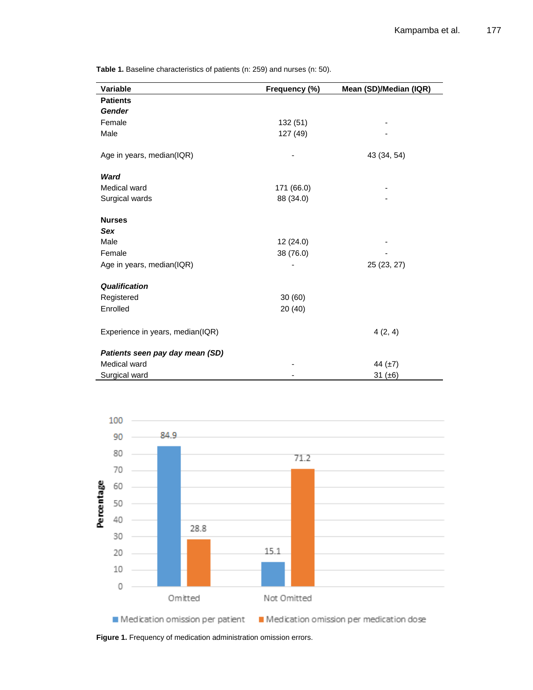**Variable Frequency (%) Mean (SD)/Median (IQR) Patients** *Gender* Female 132 (51) - 132 (51) Male 127 (49) Age in years, median(IQR)  $-$  43 (34, 54) *Ward* Medical ward 171 (66.0) Surgical wards 88 (34.0) **Nurses** *Sex* Male 12 (24.0) Female 38 (76.0) Age in years, median(IQR)  $-$  25 (23, 27) *Qualification* Registered 30 (60) Enrolled 20 (40) Experience in years, median(IQR) 4 (2, 4) *Patients seen pay day mean (SD)* Medical ward  $44 \left( \pm 7 \right)$ Surgical ward 31 (±6)





**Figure 1.** Frequency of medication administration omission errors.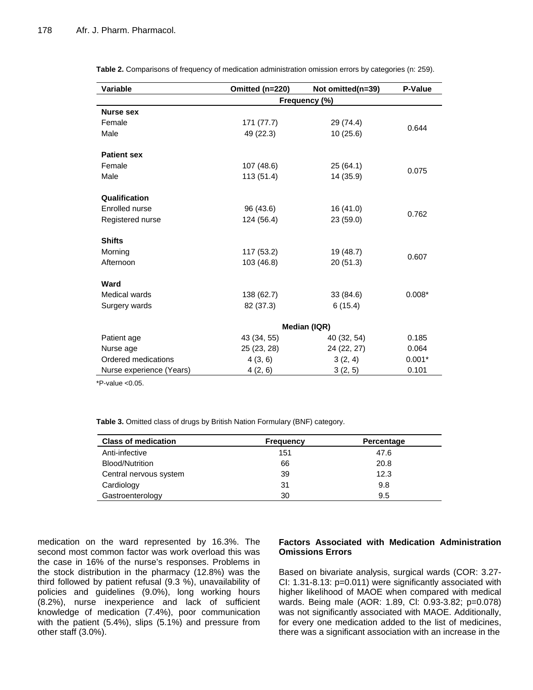**Table 2.** Comparisons of frequency of medication administration omission errors by categories (n: 259).

| <b>Variable</b>          | Omitted (n=220) | Not omitted(n=39) | P-Value  |  |  |  |
|--------------------------|-----------------|-------------------|----------|--|--|--|
|                          | Frequency (%)   |                   |          |  |  |  |
| <b>Nurse sex</b>         |                 |                   |          |  |  |  |
| Female                   | 171 (77.7)      | 29 (74.4)         | 0.644    |  |  |  |
| Male                     | 49 (22.3)       | 10(25.6)          |          |  |  |  |
| <b>Patient sex</b>       |                 |                   |          |  |  |  |
| Female                   | 107 (48.6)      | 25 (64.1)         | 0.075    |  |  |  |
| Male                     | 113(51.4)       | 14 (35.9)         |          |  |  |  |
| Qualification            |                 |                   |          |  |  |  |
| Enrolled nurse           | 96 (43.6)       | 16 (41.0)         | 0.762    |  |  |  |
| Registered nurse         | 124 (56.4)      | 23 (59.0)         |          |  |  |  |
| <b>Shifts</b>            |                 |                   |          |  |  |  |
| Morning                  | 117 (53.2)      | 19 (48.7)         |          |  |  |  |
| Afternoon                | 103 (46.8)      | 20(51.3)          | 0.607    |  |  |  |
| Ward                     |                 |                   |          |  |  |  |
| Medical wards            | 138 (62.7)      | 33 (84.6)         | $0.008*$ |  |  |  |
| Surgery wards            | 82 (37.3)       | 6(15.4)           |          |  |  |  |
|                          | Median (IQR)    |                   |          |  |  |  |
| Patient age              | 43 (34, 55)     | 40 (32, 54)       | 0.185    |  |  |  |
| Nurse age                | 25 (23, 28)     | 24 (22, 27)       | 0.064    |  |  |  |
| Ordered medications      | 4(3, 6)         | 3(2, 4)           | $0.001*$ |  |  |  |
| Nurse experience (Years) | 4(2, 6)         | 3(2, 5)           | 0.101    |  |  |  |

 $*P$ -value  $< 0.05$ .

**Table 3.** Omitted class of drugs by British Nation Formulary (BNF) category.

| <b>Class of medication</b> | <b>Frequency</b> | Percentage |
|----------------------------|------------------|------------|
| Anti-infective             | 151              | 47.6       |
| Blood/Nutrition            | 66               | 20.8       |
| Central nervous system     | 39               | 12.3       |
| Cardiology                 | 31               | 9.8        |
| Gastroenterology           | 30               | 9.5        |

medication on the ward represented by 16.3%. The second most common factor was work overload this was the case in 16% of the nurse's responses. Problems in the stock distribution in the pharmacy (12.8%) was the third followed by patient refusal (9.3 %), unavailability of policies and guidelines (9.0%), long working hours (8.2%), nurse inexperience and lack of sufficient knowledge of medication (7.4%), poor communication with the patient (5.4%), slips (5.1%) and pressure from other staff (3.0%).

## **Factors Associated with Medication Administration Omissions Errors**

Based on bivariate analysis, surgical wards (COR: 3.27- CI: 1.31-8.13: p=0.011) were significantly associated with higher likelihood of MAOE when compared with medical wards. Being male (AOR: 1.89, Cl: 0.93-3.82; p=0.078) was not significantly associated with MAOE. Additionally, for every one medication added to the list of medicines, there was a significant association with an increase in the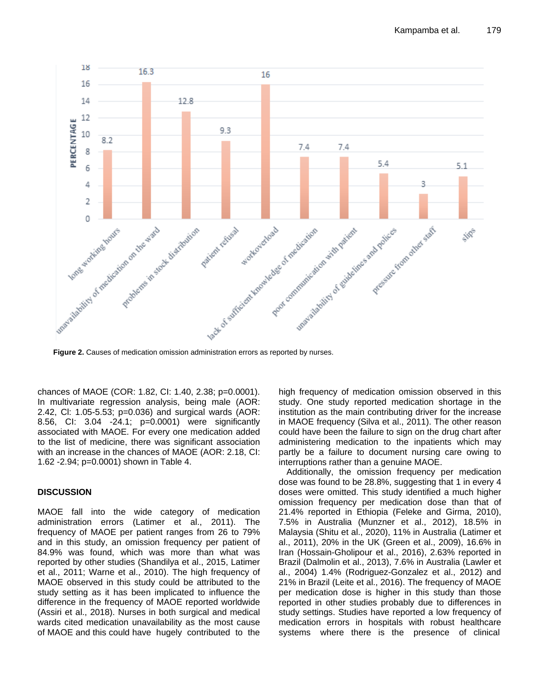

chances of MAOE (COR: 1.82, CI: 1.40, 2.38; p=0.0001). In multivariate regression analysis, being male (AOR: 2.42, Cl: 1.05-5.53; p=0.036) and surgical wards (AOR: 8.56, CI: 3.04 -24.1; p=0.0001) were significantly associated with MAOE. For every one medication added to the list of medicine, there was significant association with an increase in the chances of MAOE (AOR: 2.18, CI: 1.62 -2.94; p=0.0001) shown in Table 4.

## **DISCUSSION**

MAOE fall into the wide category of medication administration errors (Latimer et al., 2011). The frequency of MAOE per patient ranges from 26 to 79% and in this study, an omission frequency per patient of 84.9% was found, which was more than what was reported by other studies (Shandilya et al., 2015, Latimer et al., 2011; Warne et al., 2010). The high frequency of MAOE observed in this study could be attributed to the study setting as it has been implicated to influence the difference in the frequency of MAOE reported worldwide (Assiri et al., 2018). Nurses in both surgical and medical wards cited medication unavailability as the most cause of MAOE and this could have hugely contributed to the high frequency of medication omission observed in this study. One study reported medication shortage in the institution as the main contributing driver for the increase in MAOE frequency (Silva et al., 2011). The other reason could have been the failure to sign on the drug chart after administering medication to the inpatients which may partly be a failure to document nursing care owing to interruptions rather than a genuine MAOE.

Additionally, the omission frequency per medication dose was found to be 28.8%, suggesting that 1 in every 4 doses were omitted. This study identified a much higher omission frequency per medication dose than that of 21.4% reported in Ethiopia (Feleke and Girma, 2010), 7.5% in Australia (Munzner et al., 2012), 18.5% in Malaysia (Shitu et al., 2020), 11% in Australia (Latimer et al., 2011), 20% in the UK (Green et al., 2009), 16.6% in Iran (Hossain-Gholipour et al., 2016), 2.63% reported in Brazil (Dalmolin et al., 2013), 7.6% in Australia (Lawler et al., 2004) 1.4% (Rodriguez-Gonzalez et al., 2012) and 21% in Brazil (Leite et al., 2016). The frequency of MAOE per medication dose is higher in this study than those reported in other studies probably due to differences in study settings. Studies have reported a low frequency of medication errors in hospitals with robust healthcare systems where there is the presence of clinical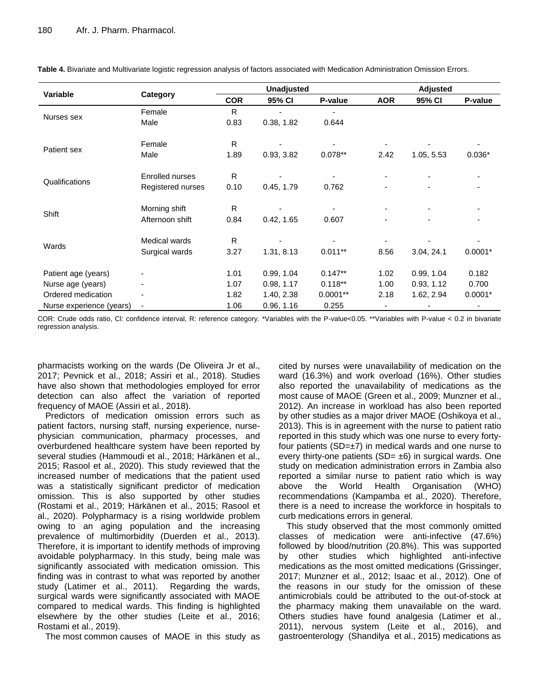| Variable                 | Category               | <b>Unadjusted</b> |            | <b>Adjusted</b> |            |            |           |
|--------------------------|------------------------|-------------------|------------|-----------------|------------|------------|-----------|
|                          |                        | <b>COR</b>        | 95% CI     | P-value         | <b>AOR</b> | 95% CI     | P-value   |
| Nurses sex               | Female                 | R                 |            |                 |            |            |           |
|                          | Male                   | 0.83              | 0.38, 1.82 | 0.644           |            |            |           |
| Patient sex              | Female                 | R.                |            |                 |            |            |           |
|                          | Male                   | 1.89              | 0.93, 3.82 | $0.078**$       | 2.42       | 1.05, 5.53 | $0.036*$  |
| Qualifications           | <b>Enrolled nurses</b> | R.                |            |                 |            |            |           |
|                          | Registered nurses      | 0.10              | 0.45, 1.79 | 0.762           | ٠          | ۰          | ۰         |
| Shift                    | Morning shift          | R                 |            |                 | ۰          |            |           |
|                          | Afternoon shift        | 0.84              | 0.42, 1.65 | 0.607           | -          |            |           |
| Wards                    | Medical wards          | R                 |            |                 |            |            |           |
|                          | Surgical wards         | 3.27              | 1.31, 8.13 | $0.011**$       | 8.56       | 3.04, 24.1 | $0.0001*$ |
| Patient age (years)      |                        | 1.01              | 0.99, 1.04 | $0.147**$       | 1.02       | 0.99, 1.04 | 0.182     |
| Nurse age (years)        |                        | 1.07              | 0.98, 1.17 | $0.118**$       | 1.00       | 0.93, 1.12 | 0.700     |
| Ordered medication       |                        | 1.82              | 1.40, 2.38 | $0.0001**$      | 2.18       | 1.62, 2.94 | $0.0001*$ |
| Nurse experience (years) |                        | 1.06              | 0.96, 1.16 | 0.255           | ٠          |            |           |

**Table 4.** Bivariate and Multivariate logistic regression analysis of factors associated with Medication Administration Omission Errors.

COR: Crude odds ratio, Cl: confidence interval, R: reference category. \*Variables with the P-value<0.05. \*\*Variables with P-value < 0.2 in bivariate regression analysis.

pharmacists working on the wards (De Oliveira Jr et al., 2017; Pevnick et al., 2018; Assiri et al., 2018). Studies have also shown that methodologies employed for error detection can also affect the variation of reported frequency of MAOE (Assiri et al., 2018).

Predictors of medication omission errors such as patient factors, nursing staff, nursing experience, nursephysician communication, pharmacy processes, and overburdened healthcare system have been reported by several studies (Hammoudi et al., 2018; Härkänen et al., 2015; Rasool et al., 2020). This study reviewed that the increased number of medications that the patient used was a statistically significant predictor of medication omission. This is also supported by other studies (Rostami et al., 2019; Härkänen et al., 2015; Rasool et al., 2020). Polypharmacy is a rising worldwide problem owing to an aging population and the increasing prevalence of multimorbidity (Duerden et al., 2013). Therefore, it is important to identify methods of improving avoidable polypharmacy. In this study, being male was significantly associated with medication omission. This finding was in contrast to what was reported by another study (Latimer et al., 2011). Regarding the wards, surgical wards were significantly associated with MAOE compared to medical wards. This finding is highlighted elsewhere by the other studies (Leite et al., 2016; Rostami et al., 2019).

The most common causes of MAOE in this study as

cited by nurses were unavailability of medication on the ward (16.3%) and work overload (16%). Other studies also reported the unavailability of medications as the most cause of MAOE (Green et al., 2009; Munzner et al., 2012). An increase in workload has also been reported by other studies as a major driver MAOE (Oshikoya et al., 2013). This is in agreement with the nurse to patient ratio reported in this study which was one nurse to every fortyfour patients ( $SD=\pm 7$ ) in medical wards and one nurse to every thirty-one patients (SD=  $\pm 6$ ) in surgical wards. One study on medication administration errors in Zambia also reported a similar nurse to patient ratio which is way above the World Health Organisation (WHO) recommendations (Kampamba et al., 2020). Therefore, there is a need to increase the workforce in hospitals to curb medications errors in general.

This study observed that the most commonly omitted classes of medication were anti-infective (47.6%) followed by blood/nutrition (20.8%). This was supported by other studies which highlighted anti-infective medications as the most omitted medications (Grissinger, 2017; Munzner et al., 2012; Isaac et al., 2012). One of the reasons in our study for the omission of these antimicrobials could be attributed to the out-of-stock at the pharmacy making them unavailable on the ward. Others studies have found analgesia (Latimer et al., 2011), nervous system (Leite et al., 2016), and gastroenterology (Shandilya et al., 2015) medications as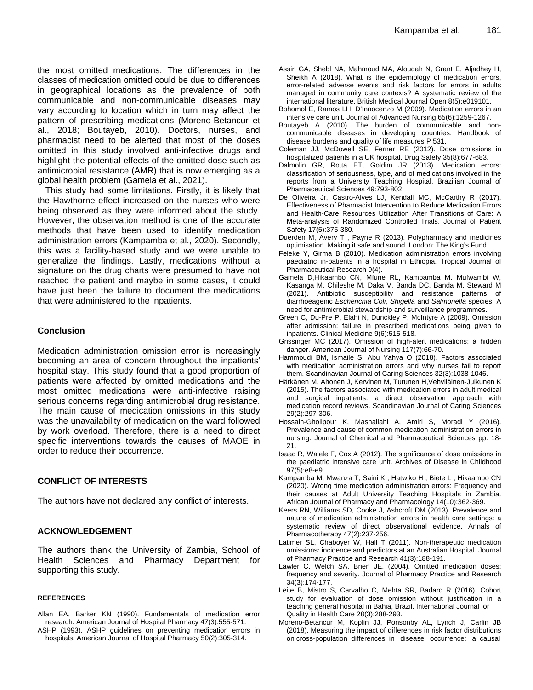the most omitted medications. The differences in the classes of medication omitted could be due to differences in geographical locations as the prevalence of both communicable and non-communicable diseases may vary according to location which in turn may affect the pattern of prescribing medications (Moreno-Betancur et al., 2018; Boutayeb, 2010). Doctors, nurses, and pharmacist need to be alerted that most of the doses omitted in this study involved anti-infective drugs and highlight the potential effects of the omitted dose such as antimicrobial resistance (AMR) that is now emerging as a global health problem (Gamela et al., 2021).

This study had some limitations. Firstly, it is likely that the Hawthorne effect increased on the nurses who were being observed as they were informed about the study. However, the observation method is one of the accurate methods that have been used to identify medication administration errors (Kampamba et al., 2020). Secondly, this was a facility-based study and we were unable to generalize the findings. Lastly, medications without a signature on the drug charts were presumed to have not reached the patient and maybe in some cases, it could have just been the failure to document the medications that were administered to the inpatients.

## **Conclusion**

Medication administration omission error is increasingly becoming an area of concern throughout the inpatients' hospital stay. This study found that a good proportion of patients were affected by omitted medications and the most omitted medications were anti-infective raising serious concerns regarding antimicrobial drug resistance. The main cause of medication omissions in this study was the unavailability of medication on the ward followed by work overload. Therefore, there is a need to direct specific interventions towards the causes of MAOE in order to reduce their occurrence.

#### **CONFLICT OF INTERESTS**

The authors have not declared any conflict of interests.

### **ACKNOWLEDGEMENT**

The authors thank the University of Zambia, School of Health Sciences and Pharmacy Department for supporting this study.

#### **REFERENCES**

- Allan EA, Barker KN (1990). Fundamentals of medication error research. American Journal of Hospital Pharmacy 47(3):555-571.
- ASHP (1993). ASHP guidelines on preventing medication errors in hospitals. American Journal of Hospital Pharmacy 50(2):305-314.
- Assiri GA, Shebl NA, Mahmoud MA, Aloudah N, Grant E, Aljadhey H, Sheikh A (2018). What is the epidemiology of medication errors, error-related adverse events and risk factors for errors in adults managed in community care contexts? A systematic review of the international literature. British Medical Journal Open 8(5):e019101.
- Bohomol E, Ramos LH, D'Innocenzo M (2009). Medication errors in an intensive care unit. Journal of Advanced Nursing 65(6):1259-1267.
- Boutayeb A (2010). The burden of communicable and noncommunicable diseases in developing countries. Handbook of disease burdens and quality of life measures P 531.
- Coleman JJ, McDowell SE, Ferner RE (2012). Dose omissions in hospitalized patients in a UK hospital. Drug Safety 35(8):677-683.
- Dalmolin GR, Rotta ET, Goldim JR (2013). Medication errors: classification of seriousness, type, and of medications involved in the reports from a University Teaching Hospital. Brazilian Journal of Pharmaceutical Sciences 49:793-802.
- De Oliveira Jr, Castro-Alves LJ, Kendall MC, McCarthy R (2017). Effectiveness of Pharmacist Intervention to Reduce Medication Errors and Health-Care Resources Utilization After Transitions of Care: A Meta-analysis of Randomized Controlled Trials. Journal of Patient Safety 17(5):375-380.
- Duerden M, Avery T , Payne R (2013). Polypharmacy and medicines optimisation. Making it safe and sound. London: The King's Fund.
- Feleke Y, Girma B (2010). Medication administration errors involving paediatric in-patients in a hospital in Ethiopia. Tropical Journal of Pharmaceutical Research 9(4).
- Gamela D,Hikaambo CN, Mfune RL, Kampamba M. Mufwambi W, Kasanga M, Chileshe M, Daka V, Banda DC. Banda M, Steward M (2021). Antibiotic susceptibility and resistance patterns of diarrhoeagenic *Escherichia Coli, Shigella* and *Salmonella* species: A need for antimicrobial stewardship and surveillance programmes.
- Green C, Du-Pre P, Elahi N, Dunckley P, McIntyre A (2009). Omission after admission: failure in prescribed medications being given to inpatients. Clinical Medicine 9(6):515-518.
- Grissinger MC (2017). Omission of high-alert medications: a hidden danger. American Journal of Nursing 117(7):66-70.
- Hammoudi BM, Ismaile S, Abu Yahya O (2018). Factors associated with medication administration errors and why nurses fail to report them. Scandinavian Journal of Caring Sciences 32(3):1038-1046.
- Härkänen M, Ahonen J, Kervinen M, Turunen H,Vehviläinen‐Julkunen K (2015). The factors associated with medication errors in adult medical and surgical inpatients: a direct observation approach with medication record reviews. Scandinavian Journal of Caring Sciences 29(2):297-306.
- Hossain-Gholipour K, Mashallahi A, Amiri S, Moradi Y (2016). Prevalence and cause of common medication administration errors in nursing. Journal of Chemical and Pharmaceutical Sciences pp. 18- 21.
- Isaac R, Walele F, Cox A (2012). The significance of dose omissions in the paediatric intensive care unit. Archives of Disease in Childhood 97(5):e8-e9.
- Kampamba M, Mwanza T, Saini K , Hatwiko H , Biete L , Hikaambo CN (2020). Wrong time medication administration errors: Frequency and their causes at Adult University Teaching Hospitals in Zambia. African Journal of Pharmacy and Pharmacology 14(10):362-369.
- Keers RN, Williams SD, Cooke J, Ashcroft DM (2013). Prevalence and nature of medication administration errors in health care settings: a systematic review of direct observational evidence. Annals of Pharmacotherapy 47(2):237-256.
- Latimer SL, Chaboyer W, Hall T (2011). Non-therapeutic medication omissions: incidence and predictors at an Australian Hospital. Journal of Pharmacy Practice and Research 41(3):188-191.
- Lawler C, Welch SA, Brien JE. (2004). Omitted medication doses: frequency and severity. Journal of Pharmacy Practice and Research 34(3):174-177.
- Leite B, Mistro S, Carvalho C, Mehta SR, Badaro R (2016). Cohort study for evaluation of dose omission without justification in a teaching general hospital in Bahia, Brazil. International Journal for Quality in Health Care 28(3):288-293.
- Moreno-Betancur M, Koplin JJ, Ponsonby AL, Lynch J, Carlin JB (2018). Measuring the impact of differences in risk factor distributions on cross-population differences in disease occurrence: a causal